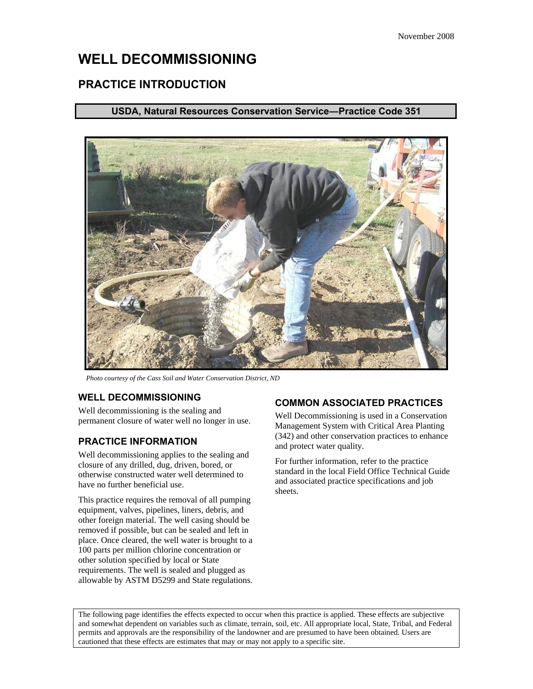# **WELL DECOMMISSIONING**

## **PRACTICE INTRODUCTION**

### **USDA, Natural Resources Conservation Service―Practice Code 351**



*Photo courtesy of the Cass Soil and Water Conservation District, ND* 

#### **WELL DECOMMISSIONING**

Well decommissioning is the sealing and permanent closure of water well no longer in use.

#### **PRACTICE INFORMATION**

Well decommissioning applies to the sealing and closure of any drilled, dug, driven, bored, or otherwise constructed water well determined to have no further beneficial use.

This practice requires the removal of all pumping equipment, valves, pipelines, liners, debris, and other foreign material. The well casing should be removed if possible, but can be sealed and left in place. Once cleared, the well water is brought to a 100 parts per million chlorine concentration or other solution specified by local or State requirements. The well is sealed and plugged as allowable by ASTM D5299 and State regulations.

#### **COMMON ASSOCIATED PRACTICES**

Well Decommissioning is used in a Conservation Management System with Critical Area Planting (342) and other conservation practices to enhance and protect water quality.

For further information, refer to the practice standard in the local Field Office Technical Guide and associated practice specifications and job sheets.

The following page identifies the effects expected to occur when this practice is applied. These effects are subjective and somewhat dependent on variables such as climate, terrain, soil, etc. All appropriate local, State, Tribal, and Federal permits and approvals are the responsibility of the landowner and are presumed to have been obtained. Users are cautioned that these effects are estimates that may or may not apply to a specific site.